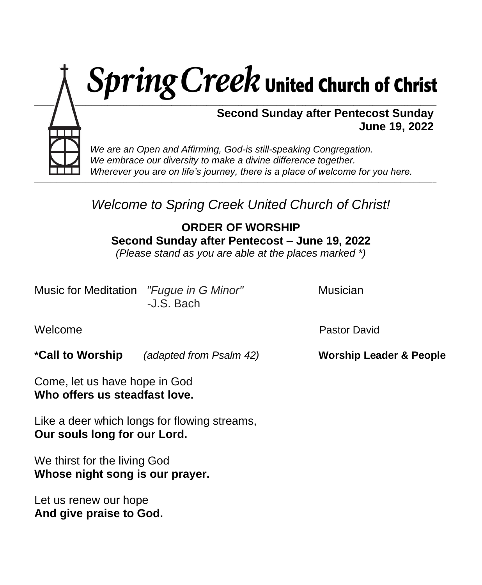

 *Wherever you are on life's journey, there is a place of welcome for you here.*

# *Welcome to Spring Creek United Church of Christ!*

**\_\_\_\_\_\_\_\_\_\_\_\_\_\_\_\_\_\_\_\_\_\_\_\_\_\_\_\_\_\_\_\_\_\_\_\_\_\_\_\_\_\_\_\_\_\_\_\_\_\_\_\_\_\_\_\_\_\_\_\_\_\_\_\_\_\_\_\_\_\_\_\_\_\_\_\_\_\_\_\_\_\_\_\_\_\_\_\_\_\_\_\_\_\_\_\_\_\_\_\_\_\_\_\_\_\_\_\_\_\_\_\_\_\_\_\_\_\_\_\_\_\_\_\_\_\_**

**ORDER OF WORSHIP Second Sunday after Pentecost – June 19, 2022**

*(Please stand as you are able at the places marked \*)*

Music for Meditation *"Fugue in G Minor"* Musician -J.S. Bach

WelcomePastor David

**\*Call to Worship** *(adapted from Psalm 42)* **Worship Leader & People**

Come, let us have hope in God **Who offers us steadfast love.**

Like a deer which longs for flowing streams, **Our souls long for our Lord.**

We thirst for the living God **Whose night song is our prayer.**

Let us renew our hope **And give praise to God.**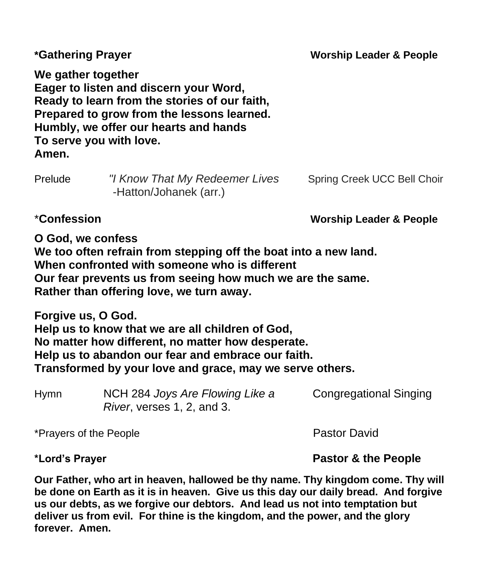| *Gathering Prayer           |                                                                                                                                                                                                                             | <b>Worship Leader &amp; People</b> |  |
|-----------------------------|-----------------------------------------------------------------------------------------------------------------------------------------------------------------------------------------------------------------------------|------------------------------------|--|
| We gather together<br>Amen. | Eager to listen and discern your Word,<br>Ready to learn from the stories of our faith,<br>Prepared to grow from the lessons learned.<br>Humbly, we offer our hearts and hands<br>To serve you with love.                   |                                    |  |
| Prelude                     | "I Know That My Redeemer Lives<br>-Hatton/Johanek (arr.)                                                                                                                                                                    | Spring Creek UCC Bell Choir        |  |
| <i>*Confession</i>          |                                                                                                                                                                                                                             | <b>Worship Leader &amp; People</b> |  |
| O God, we confess           | We too often refrain from stepping off the boat into a new land.<br>When confronted with someone who is different<br>Our fear prevents us from seeing how much we are the same.<br>Rather than offering love, we turn away. |                                    |  |
| Forgive us, O God.          | Help us to know that we are all children of God,<br>No matter how different, no matter how desperate.<br>Help us to abandon our fear and embrace our faith.<br>Transformed by your love and grace, may we serve others.     |                                    |  |
| <b>Hymn</b>                 | NCH 284 Joys Are Flowing Like a<br>River, verses 1, 2, and 3.                                                                                                                                                               | <b>Congregational Singing</b>      |  |
| *Prayers of the People      |                                                                                                                                                                                                                             | <b>Pastor David</b>                |  |

**\*Lord's Prayer Pastor & the People**

**Our Father, who art in heaven, hallowed be thy name. Thy kingdom come. Thy will be done on Earth as it is in heaven. Give us this day our daily bread. And forgive us our debts, as we forgive our debtors. And lead us not into temptation but deliver us from evil. For thine is the kingdom, and the power, and the glory forever. Amen.**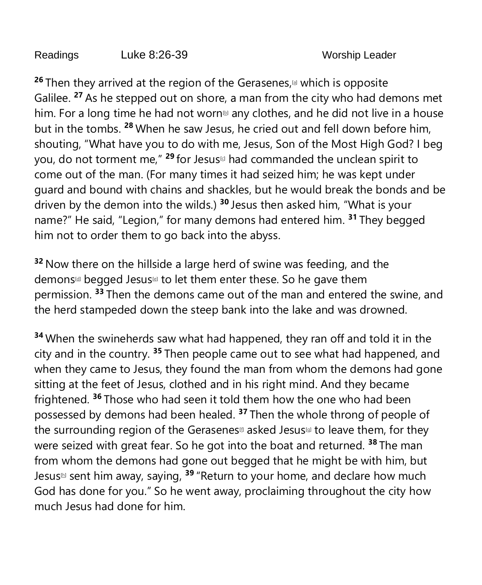Readings Luke 8:26-39 Worship Leader

26 Then they arrived at the region of the Gerasenes,<sup>[\[a\]](https://www.biblegateway.com/passage/?search=Luke+8%3A26-39&version=NRSVUE#fen-NRSVUE-25264a)</sup> which is opposite Galilee. **<sup>27</sup>** As he stepped out on shore, a man from the city who had demons met him. For a long time he had not worn<sup>®</sup> any clothes, and he did not live in a house but in the tombs. **<sup>28</sup>** When he saw Jesus, he cried out and fell down before him, shouting, "What have you to do with me, Jesus, Son of the Most High God? I beg you, do not torment me,<sup>" 29</sup> for Jesus<sup>⊠</sup> had commanded the unclean spirit to come out of the man. (For many times it had seized him; he was kept under guard and bound with chains and shackles, but he would break the bonds and be driven by the demon into the wilds.) **<sup>30</sup>** Jesus then asked him, "What is your name?" He said, "Legion," for many demons had entered him. **<sup>31</sup>** They begged him not to order them to go back into the abyss.

**<sup>32</sup>** Now there on the hillside a large herd of swine was feeding, and the demons<sup>d</sup> begged Jesus<sup>d</sup> to let them enter these. So he gave them permission. **<sup>33</sup>** Then the demons came out of the man and entered the swine, and the herd stampeded down the steep bank into the lake and was drowned.

**<sup>34</sup>** When the swineherds saw what had happened, they ran off and told it in the city and in the country. **<sup>35</sup>** Then people came out to see what had happened, and when they came to Jesus, they found the man from whom the demons had gone sitting at the feet of Jesus, clothed and in his right mind. And they became frightened. **<sup>36</sup>** Those who had seen it told them how the one who had been possessed by demons had been healed. **<sup>37</sup>** Then the whole throng of people of the surrounding region of the Gerasenes<sup>®</sup> asked Jesus<sup>®</sup> to leave them, for they were seized with great fear. So he got into the boat and returned. **<sup>38</sup>** The man from whom the demons had gone out begged that he might be with him, but Jesus<sup>™</sup> sent him away, saying, <sup>39</sup> "Return to your home, and declare how much God has done for you." So he went away, proclaiming throughout the city how much Jesus had done for him.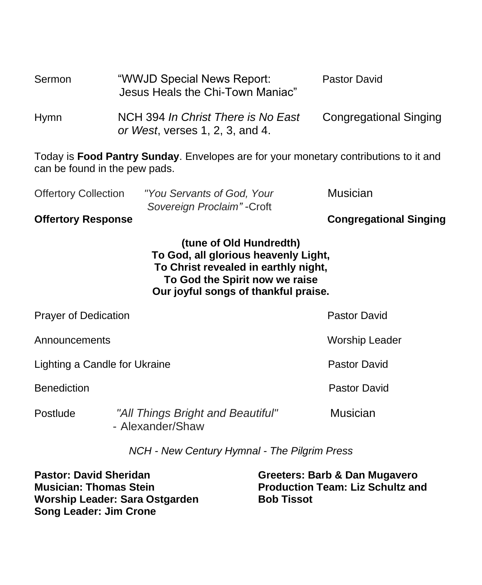| Sermon      | "WWJD Special News Report:<br>Jesus Heals the Chi-Town Maniac"        | Pastor David                  |
|-------------|-----------------------------------------------------------------------|-------------------------------|
| <b>Hymn</b> | NCH 394 In Christ There is No East<br>or West, verses 1, 2, 3, and 4. | <b>Congregational Singing</b> |

Today is **Food Pantry Sunday**. Envelopes are for your monetary contributions to it and can be found in the pew pads.

| <b>Offertory Response</b>   |                             | <b>Congregational Singing</b> |
|-----------------------------|-----------------------------|-------------------------------|
|                             | Sovereign Proclaim" - Croft |                               |
| <b>Offertory Collection</b> | "You Servants of God, Your  | Musician                      |

**(tune of Old Hundredth) To God, all glorious heavenly Light,**

**To Christ revealed in earthly night, To God the Spirit now we raise**

**Our joyful songs of thankful praise.**

| <b>Prayer of Dedication</b>   |                                                       | Pastor David        |
|-------------------------------|-------------------------------------------------------|---------------------|
| Announcements                 | <b>Worship Leader</b>                                 |                     |
| Lighting a Candle for Ukraine |                                                       | <b>Pastor David</b> |
| <b>Benediction</b>            |                                                       | <b>Pastor David</b> |
| Postlude                      | "All Things Bright and Beautiful"<br>- Alexander/Shaw | <b>Musician</b>     |

*NCH - New Century Hymnal - The Pilgrim Press*

**Pastor: David Sheridan Musician: Thomas Stein Worship Leader: Sara Ostgarden Song Leader: Jim Crone**

**Greeters: Barb & Dan Mugavero Production Team: Liz Schultz and Bob Tissot**